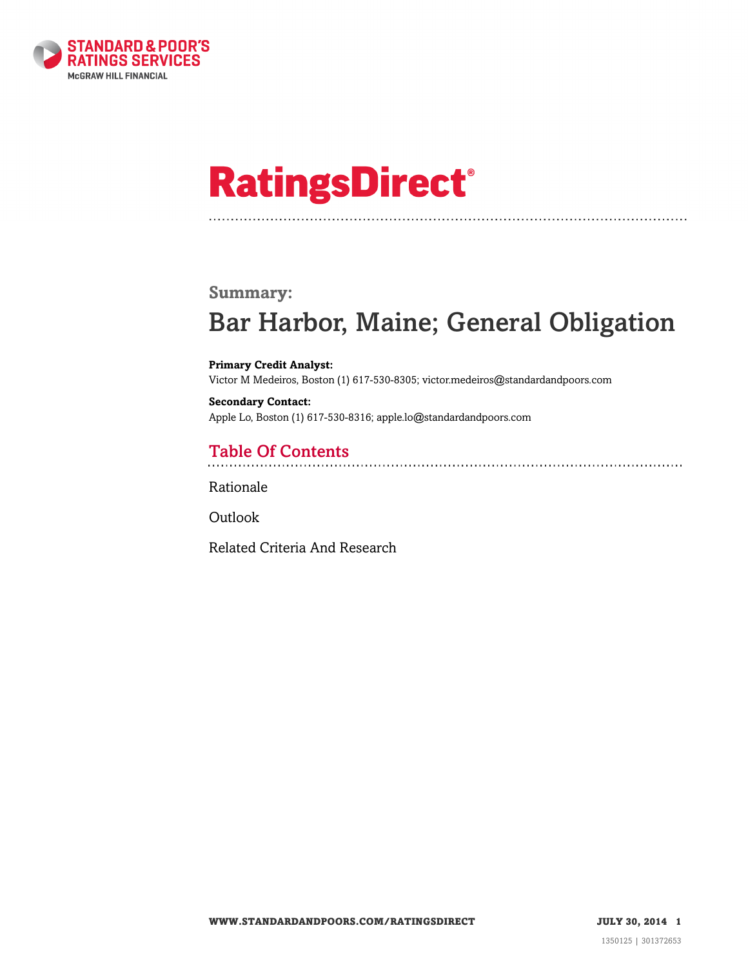

# **RatingsDirect®**

#### **Summary:**

## Bar Harbor, Maine; General Obligation

**Primary Credit Analyst:** Victor M Medeiros, Boston (1) 617-530-8305; victor.medeiros@standardandpoors.com

**Secondary Contact:** Apple Lo, Boston (1) 617-530-8316; apple.lo@standardandpoors.com

### Table Of Contents

[Rationale](#page-1-0)

**[Outlook](#page-3-0)** 

[Related Criteria And Research](#page-3-1)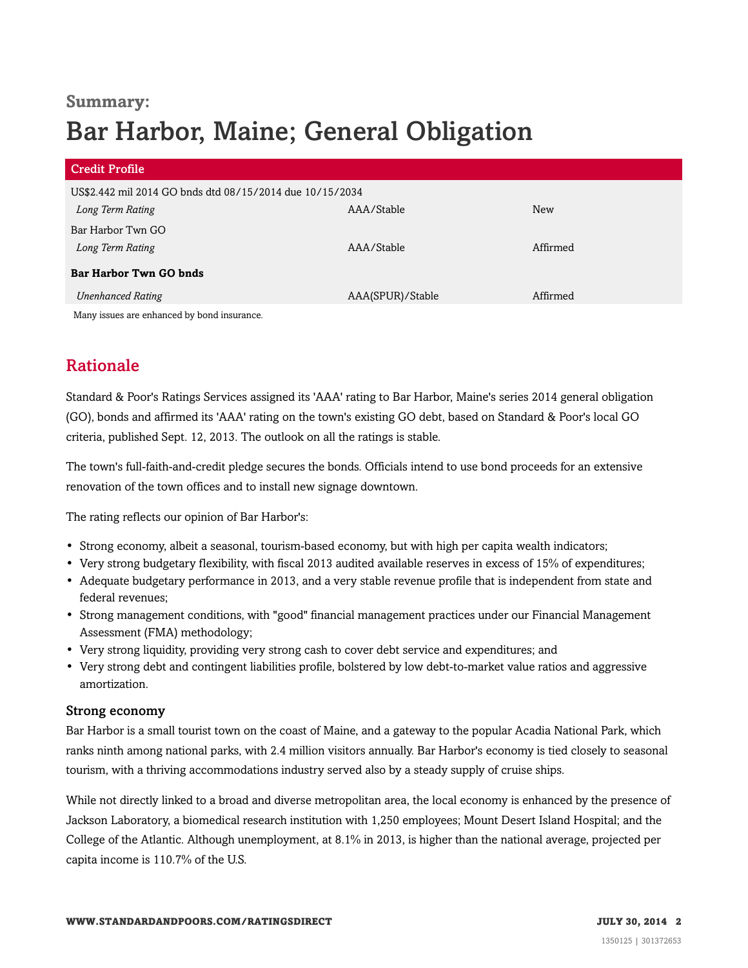### **Summary:** Bar Harbor, Maine; General Obligation

| <b>Credit Profile</b>                                    |                  |            |
|----------------------------------------------------------|------------------|------------|
| US\$2.442 mil 2014 GO bnds dtd 08/15/2014 due 10/15/2034 |                  |            |
| Long Term Rating                                         | AAA/Stable       | <b>New</b> |
| Bar Harbor Twn GO                                        |                  |            |
| Long Term Rating                                         | AAA/Stable       | Affirmed   |
| Bar Harbor Twn GO bnds                                   |                  |            |
| <b>Unenhanced Rating</b>                                 | AAA(SPUR)/Stable | Affirmed   |
| Many issues are enhanced by bond insurance.              |                  |            |

#### <span id="page-1-0"></span>Rationale

Standard & Poor's Ratings Services assigned its 'AAA' rating to Bar Harbor, Maine's series 2014 general obligation (GO), bonds and affirmed its 'AAA' rating on the town's existing GO debt, based on Standard & Poor's local GO criteria, published Sept. 12, 2013. The outlook on all the ratings is stable.

The town's full-faith-and-credit pledge secures the bonds. Officials intend to use bond proceeds for an extensive renovation of the town offices and to install new signage downtown.

The rating reflects our opinion of Bar Harbor's:

- Strong economy, albeit a seasonal, tourism-based economy, but with high per capita wealth indicators;
- Very strong budgetary flexibility, with fiscal 2013 audited available reserves in excess of 15% of expenditures;
- Adequate budgetary performance in 2013, and a very stable revenue profile that is independent from state and federal revenues;
- Strong management conditions, with "good" financial management practices under our Financial Management Assessment (FMA) methodology;
- Very strong liquidity, providing very strong cash to cover debt service and expenditures; and
- Very strong debt and contingent liabilities profile, bolstered by low debt-to-market value ratios and aggressive amortization.

#### Strong economy

Bar Harbor is a small tourist town on the coast of Maine, and a gateway to the popular Acadia National Park, which ranks ninth among national parks, with 2.4 million visitors annually. Bar Harbor's economy is tied closely to seasonal tourism, with a thriving accommodations industry served also by a steady supply of cruise ships.

While not directly linked to a broad and diverse metropolitan area, the local economy is enhanced by the presence of Jackson Laboratory, a biomedical research institution with 1,250 employees; Mount Desert Island Hospital; and the College of the Atlantic. Although unemployment, at 8.1% in 2013, is higher than the national average, projected per capita income is 110.7% of the U.S.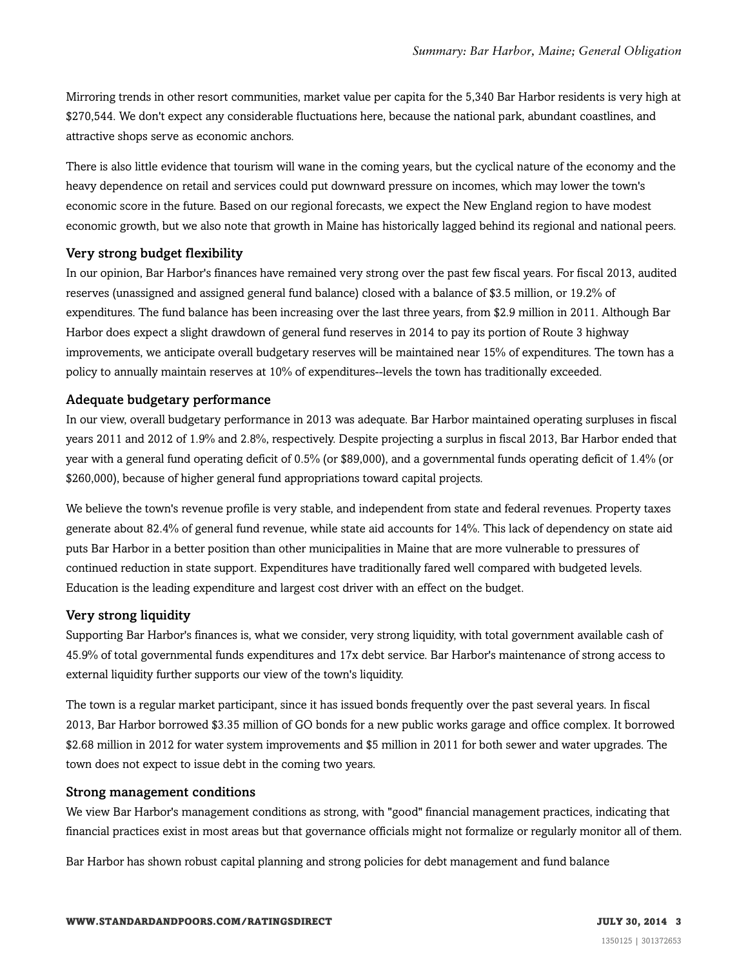Mirroring trends in other resort communities, market value per capita for the 5,340 Bar Harbor residents is very high at \$270,544. We don't expect any considerable fluctuations here, because the national park, abundant coastlines, and attractive shops serve as economic anchors.

There is also little evidence that tourism will wane in the coming years, but the cyclical nature of the economy and the heavy dependence on retail and services could put downward pressure on incomes, which may lower the town's economic score in the future. Based on our regional forecasts, we expect the New England region to have modest economic growth, but we also note that growth in Maine has historically lagged behind its regional and national peers.

#### Very strong budget flexibility

In our opinion, Bar Harbor's finances have remained very strong over the past few fiscal years. For fiscal 2013, audited reserves (unassigned and assigned general fund balance) closed with a balance of \$3.5 million, or 19.2% of expenditures. The fund balance has been increasing over the last three years, from \$2.9 million in 2011. Although Bar Harbor does expect a slight drawdown of general fund reserves in 2014 to pay its portion of Route 3 highway improvements, we anticipate overall budgetary reserves will be maintained near 15% of expenditures. The town has a policy to annually maintain reserves at 10% of expenditures--levels the town has traditionally exceeded.

#### Adequate budgetary performance

In our view, overall budgetary performance in 2013 was adequate. Bar Harbor maintained operating surpluses in fiscal years 2011 and 2012 of 1.9% and 2.8%, respectively. Despite projecting a surplus in fiscal 2013, Bar Harbor ended that year with a general fund operating deficit of 0.5% (or \$89,000), and a governmental funds operating deficit of 1.4% (or \$260,000), because of higher general fund appropriations toward capital projects.

We believe the town's revenue profile is very stable, and independent from state and federal revenues. Property taxes generate about 82.4% of general fund revenue, while state aid accounts for 14%. This lack of dependency on state aid puts Bar Harbor in a better position than other municipalities in Maine that are more vulnerable to pressures of continued reduction in state support. Expenditures have traditionally fared well compared with budgeted levels. Education is the leading expenditure and largest cost driver with an effect on the budget.

#### Very strong liquidity

Supporting Bar Harbor's finances is, what we consider, very strong liquidity, with total government available cash of 45.9% of total governmental funds expenditures and 17x debt service. Bar Harbor's maintenance of strong access to external liquidity further supports our view of the town's liquidity.

The town is a regular market participant, since it has issued bonds frequently over the past several years. In fiscal 2013, Bar Harbor borrowed \$3.35 million of GO bonds for a new public works garage and office complex. It borrowed \$2.68 million in 2012 for water system improvements and \$5 million in 2011 for both sewer and water upgrades. The town does not expect to issue debt in the coming two years.

#### Strong management conditions

We view Bar Harbor's management conditions as strong, with "good" financial management practices, indicating that financial practices exist in most areas but that governance officials might not formalize or regularly monitor all of them.

Bar Harbor has shown robust capital planning and strong policies for debt management and fund balance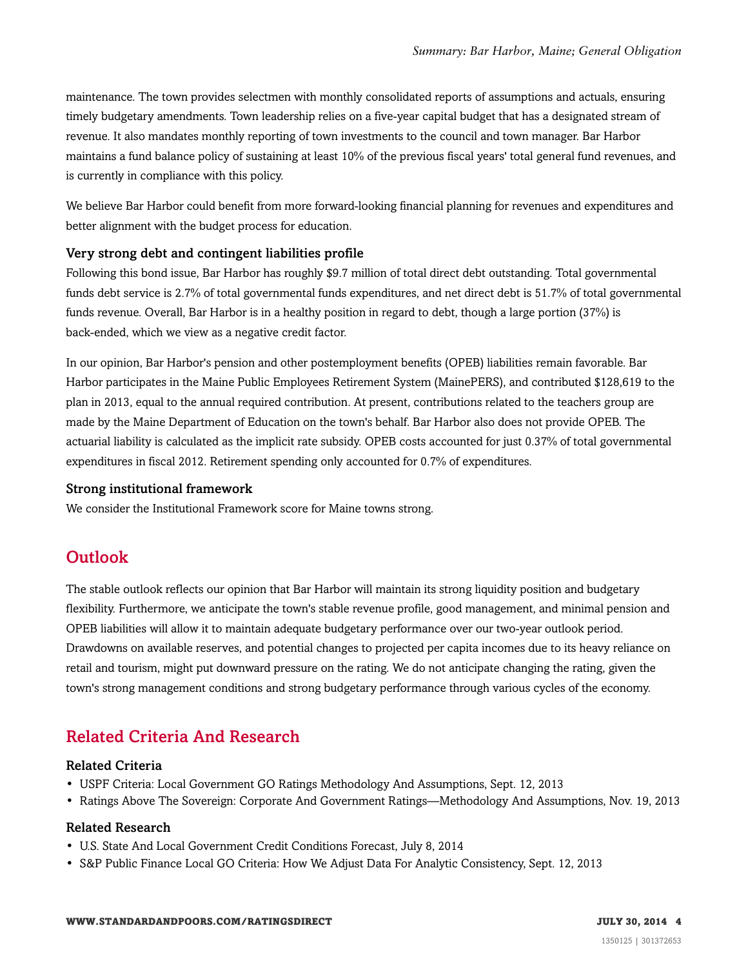maintenance. The town provides selectmen with monthly consolidated reports of assumptions and actuals, ensuring timely budgetary amendments. Town leadership relies on a five-year capital budget that has a designated stream of revenue. It also mandates monthly reporting of town investments to the council and town manager. Bar Harbor maintains a fund balance policy of sustaining at least 10% of the previous fiscal years' total general fund revenues, and is currently in compliance with this policy.

We believe Bar Harbor could benefit from more forward-looking financial planning for revenues and expenditures and better alignment with the budget process for education.

#### Very strong debt and contingent liabilities profile

Following this bond issue, Bar Harbor has roughly \$9.7 million of total direct debt outstanding. Total governmental funds debt service is 2.7% of total governmental funds expenditures, and net direct debt is 51.7% of total governmental funds revenue. Overall, Bar Harbor is in a healthy position in regard to debt, though a large portion (37%) is back-ended, which we view as a negative credit factor.

In our opinion, Bar Harbor's pension and other postemployment benefits (OPEB) liabilities remain favorable. Bar Harbor participates in the Maine Public Employees Retirement System (MainePERS), and contributed \$128,619 to the plan in 2013, equal to the annual required contribution. At present, contributions related to the teachers group are made by the Maine Department of Education on the town's behalf. Bar Harbor also does not provide OPEB. The actuarial liability is calculated as the implicit rate subsidy. OPEB costs accounted for just 0.37% of total governmental expenditures in fiscal 2012. Retirement spending only accounted for 0.7% of expenditures.

#### Strong institutional framework

<span id="page-3-0"></span>We consider the Institutional Framework score for Maine towns strong.

#### **Outlook**

The stable outlook reflects our opinion that Bar Harbor will maintain its strong liquidity position and budgetary flexibility. Furthermore, we anticipate the town's stable revenue profile, good management, and minimal pension and OPEB liabilities will allow it to maintain adequate budgetary performance over our two-year outlook period. Drawdowns on available reserves, and potential changes to projected per capita incomes due to its heavy reliance on retail and tourism, might put downward pressure on the rating. We do not anticipate changing the rating, given the town's strong management conditions and strong budgetary performance through various cycles of the economy.

#### <span id="page-3-1"></span>Related Criteria And Research

#### Related Criteria

- USPF Criteria: Local Government GO Ratings Methodology And Assumptions, Sept. 12, 2013
- Ratings Above The Sovereign: Corporate And Government Ratings—Methodology And Assumptions, Nov. 19, 2013

#### Related Research

- U.S. State And Local Government Credit Conditions Forecast, July 8, 2014
- S&P Public Finance Local GO Criteria: How We Adjust Data For Analytic Consistency, Sept. 12, 2013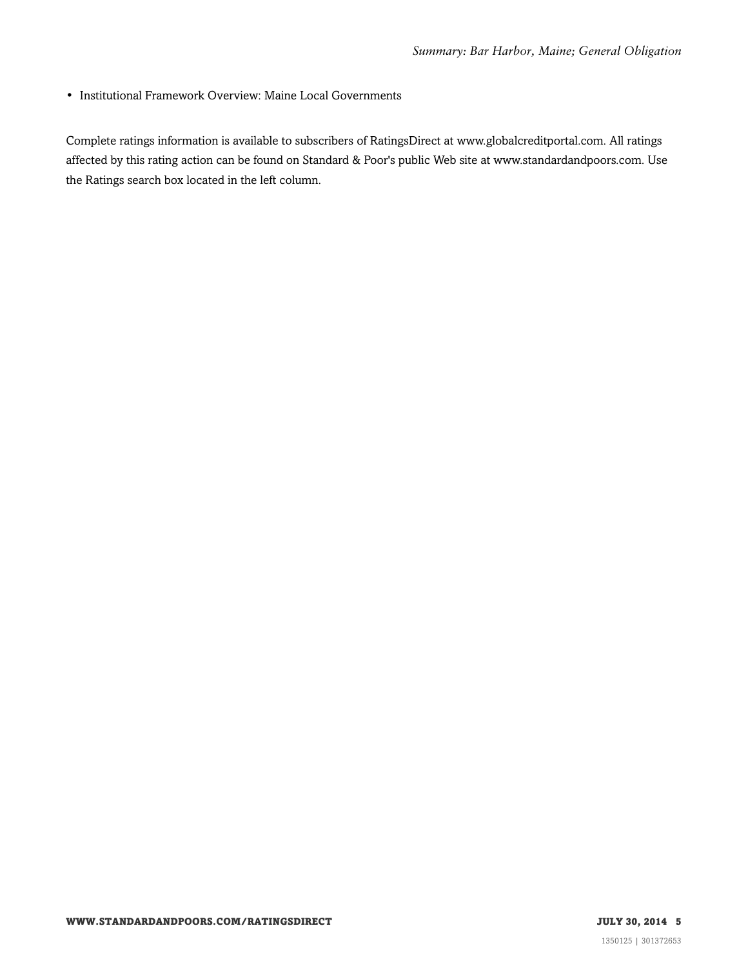• Institutional Framework Overview: Maine Local Governments

Complete ratings information is available to subscribers of RatingsDirect at www.globalcreditportal.com. All ratings affected by this rating action can be found on Standard & Poor's public Web site at www.standardandpoors.com. Use the Ratings search box located in the left column.